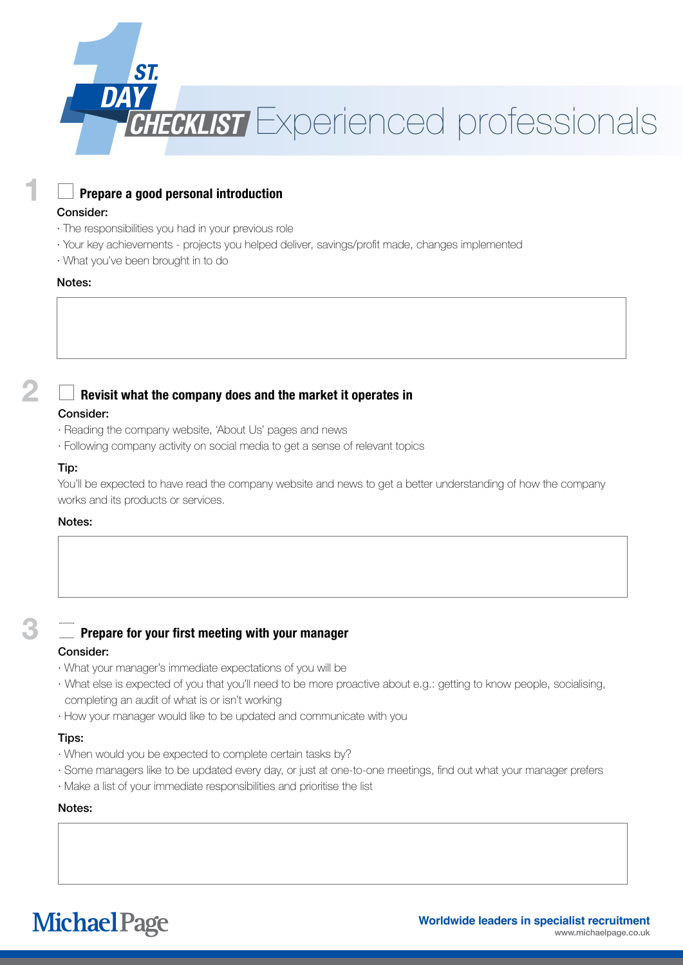

# **Prepare a good personal introduction**

## Consider:

- · The responsibilities you had in your previous role
- · Your key achievements projects you helped deliver, savings/profit made, changes implemented
- · What you've been brought in to do

#### Notes:

# **Revisit what the company does and the market it operates in**

#### Consider:

- · Reading the company website, 'About Us' pages and news
- · Following company activity on social media to get a sense of relevant topics

#### Tip:

You'll be expected to have read the company website and news to get a better understanding of how the company works and its products or services.

## Notes:

# **Prepare for your first meeting with your manager**

# Consider:

- · What your manager's immediate expectations of you will be
- · What else is expected of you that you'll need to be more proactive about e.g.: getting to know people, socialising, completing an audit of what is or isn't working
- · How your manager would like to be updated and communicate with you

#### Tips:

- · When would you be expected to complete certain tasks by?
- · Some managers like to be updated every day, or just at one-to-one meetings, find out what your manager prefers
- · Make a list of your immediate responsibilities and prioritise the list

# Notes:

**Michael Page**